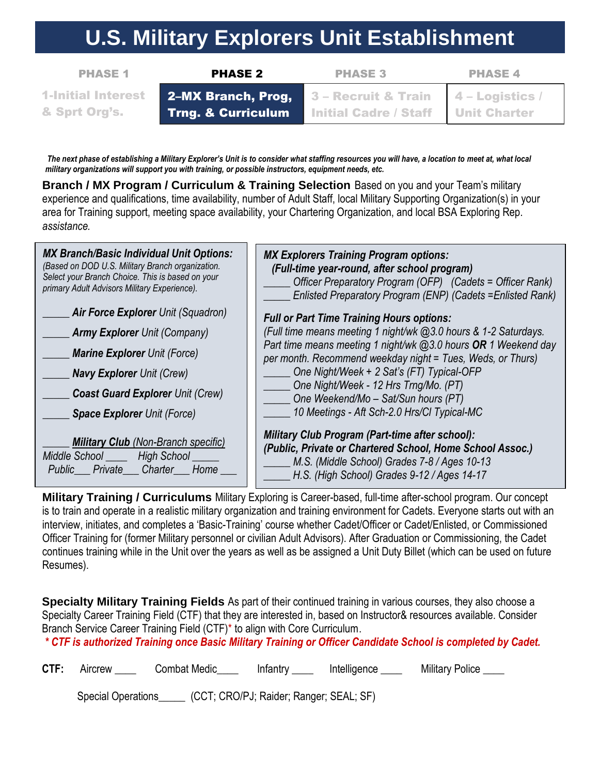## **U.S. Military Explorers Unit Establishment**

| <b>PHASE 1</b>            | <b>PHASE 2</b>     | <b>PHASE 3</b>               | <b>PHASE 4</b>                 |
|---------------------------|--------------------|------------------------------|--------------------------------|
| <b>1-Initial Interest</b> | 2-MX Branch, Prog, | 3 - Recruit & Train          | $\blacksquare$ 4 – Logistics / |
| 8. Sprt Org's.            | Trng. & Curriculum | <b>Initial Cadre / Staff</b> | <b>Unit Charter</b>            |

*The next phase of establishing a Military Explorer's Unit is to consider what staffing resources you will have, a location to meet at, what local military organizations will support you with training, or possible instructors, equipment needs, etc.*

**Branch / MX Program / Curriculum & Training Selection** Based on you and your Team's military experience and qualifications, time availability, number of Adult Staff, local Military Supporting Organization(s) in your area for Training support, meeting space availability, your Chartering Organization, and local BSA Exploring Rep. *assistance.*

| <b>MX Branch/Basic Individual Unit Options:</b><br>(Based on DOD U.S. Military Branch organization.<br>Select your Branch Choice. This is based on your<br>primary Adult Advisors Military Experience). | <b>MX Explorers Training Program options:</b><br>(Full-time year-round, after school program)<br>Officer Preparatory Program (OFP) (Cadets = Officer Rank)<br>Enlisted Preparatory Program (ENP) (Cadets = Enlisted Rank)                                                                        |  |  |
|---------------------------------------------------------------------------------------------------------------------------------------------------------------------------------------------------------|--------------------------------------------------------------------------------------------------------------------------------------------------------------------------------------------------------------------------------------------------------------------------------------------------|--|--|
| <b>Air Force Explorer Unit (Squadron)</b>                                                                                                                                                               | <b>Full or Part Time Training Hours options:</b><br>(Full time means meeting 1 night/wk @3.0 hours & 1-2 Saturdays.<br>Part time means meeting 1 night/wk @3.0 hours OR 1 Weekend day<br>per month. Recommend weekday night = Tues, Weds, or Thurs)<br>One Night/Week + 2 Sat's (FT) Typical-OFP |  |  |
| <b>Army Explorer</b> Unit (Company)                                                                                                                                                                     |                                                                                                                                                                                                                                                                                                  |  |  |
| <b>Marine Explorer Unit (Force)</b>                                                                                                                                                                     |                                                                                                                                                                                                                                                                                                  |  |  |
| <b>Navy Explorer Unit (Crew)</b>                                                                                                                                                                        |                                                                                                                                                                                                                                                                                                  |  |  |
| <b>Coast Guard Explorer Unit (Crew)</b>                                                                                                                                                                 | One Night/Week - 12 Hrs Trng/Mo. (PT)<br>One Weekend/Mo – Sat/Sun hours (PT)                                                                                                                                                                                                                     |  |  |
| <b>Space Explorer Unit (Force)</b>                                                                                                                                                                      | 10 Meetings - Aft Sch-2.0 Hrs/Cl Typical-MC                                                                                                                                                                                                                                                      |  |  |
| <b>Military Club</b> (Non-Branch specific)<br>Middle School _____ High School _____<br>Public Private Charter Home                                                                                      | <b>Military Club Program (Part-time after school):</b><br>(Public, Private or Chartered School, Home School Assoc.)<br>M.S. (Middle School) Grades 7-8 / Ages 10-13<br>H.S. (High School) Grades 9-12 / Ages 14-17                                                                               |  |  |

**Military Training / Curriculums** Military Exploring is Career-based, full-time after-school program. Our concept is to train and operate in a realistic military organization and training environment for Cadets. Everyone starts out with an interview, initiates, and completes a 'Basic-Training' course whether Cadet/Officer or Cadet/Enlisted, or Commissioned Officer Training for (former Military personnel or civilian Adult Advisors). After Graduation or Commissioning, the Cadet continues training while in the Unit over the years as well as be assigned a Unit Duty Billet (which can be used on future Resumes).

**Specialty Military Training Fields** As part of their continued training in various courses, they also choose a Specialty Career Training Field (CTF) that they are interested in, based on Instructor& resources available. Consider Branch Service Career Training Field (CTF)\* to align with Core Curriculum.

*\* CTF is authorized Training once Basic Military Training or Officer Candidate School is completed by Cadet.*

**CTF:** Aircrew Combat Medic **Notaillact Infantry CTF: Aircrew Combat Medic Notaillact Act Analyzer** Intelligence Military Police

Special Operations\_\_\_\_\_ (CCT; CRO/PJ; Raider; Ranger; SEAL; SF)